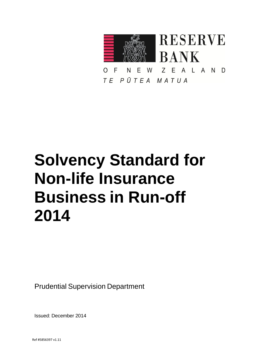

E W Z E A L A N D N  $\Omega$ F TE PŪTEA MATUA

# **Solvency Standard for Non-life Insurance Business in Run-off 2014**

Prudential Supervision Department

Issued: December 2014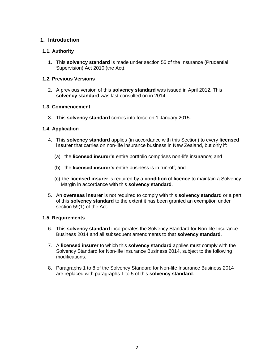# **1. Introduction**

# **1.1. Authority**

1. This **solvency standard** is made under section 55 of the Insurance (Prudential Supervision) Act 2010 (the Act).

# **1.2. Previous Versions**

2. A previous version of this **solvency standard** was issued in April 2012. This **solvency standard** was last consulted on in 2014.

# **1.3. Commencement**

3. This **solvency standard** comes into force on 1 January 2015.

# **1.4. Application**

- 4. This **solvency standard** applies (in accordance with this Section) to every **licensed insurer** that carries on non-life insurance business in New Zealand, but only if:
	- (a) the **licensed insurer's** entire portfolio comprises non-life insurance; and
	- (b) the **licensed insurer's** entire business is in run-off; and
	- (c) the **licensed insurer** is required by a **condition** of **licence** to maintain a Solvency Margin in accordance with this **solvency standard**.
- 5. An **overseas insurer** is not required to comply with this **solvency standard** or a part of this **solvency standard** to the extent it has been granted an exemption under section 59(1) of the Act.

## **1.5. Requirements**

- 6. This **solvency standard** incorporates the Solvency Standard for Non-life Insurance Business 2014 and all subsequent amendments to that **solvency standard**.
- 7. A **licensed insurer** to which this **solvency standard** applies must comply with the Solvency Standard for Non-life Insurance Business 2014, subject to the following modifications.
- 8. Paragraphs 1 to 8 of the Solvency Standard for Non-life Insurance Business 2014 are replaced with paragraphs 1 to 5 of this **solvency standard**.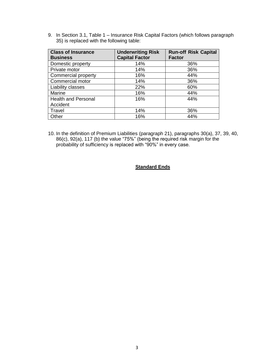9. In Section 3.1, Table 1 – Insurance Risk Capital Factors (which follows paragraph 35) is replaced with the following table:

| <b>Class of Insurance</b><br><b>Business</b> | <b>Underwriting Risk</b><br><b>Capital Factor</b> | <b>Run-off Risk Capital</b><br><b>Factor</b> |
|----------------------------------------------|---------------------------------------------------|----------------------------------------------|
| Domestic property                            | 14%                                               | 36%                                          |
| Private motor                                | 14%                                               | 36%                                          |
| Commercial property                          | 16%                                               | 44%                                          |
| Commercial motor                             | 14%                                               | 36%                                          |
| Liability classes                            | 22%                                               | 60%                                          |
| Marine                                       | 16%                                               | 44%                                          |
| <b>Health and Personal</b>                   | 16%                                               | 44%                                          |
| Accident                                     |                                                   |                                              |
| Travel                                       | 14%                                               | 36%                                          |
| Other                                        | 16%                                               | 44%                                          |

10. In the definition of Premium Liabilities (paragraph 21), paragraphs 30(a), 37, 39, 40, 86(c), 92(a), 117 (b) the value "75%" (being the required risk margin for the probability of sufficiency is replaced with "90%" in every case.

# **Standard Ends**